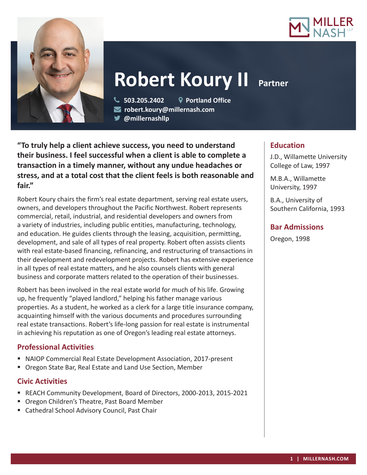



# **Robert Koury II** Partner

 **503.205.2402 Portland Office robert.koury@millernash.com** 

**@millernashllp**

**"To truly help a client achieve success, you need to understand their business. I feel successful when a client is able to complete a transaction in a timely manner, without any undue headaches or stress, and at a total cost that the client feels is both reasonable and fair."**

Robert Koury chairs the firm's real estate department, serving real estate users, owners, and developers throughout the Pacific Northwest. Robert represents commercial, retail, industrial, and residential developers and owners from a variety of industries, including public entities, manufacturing, technology, and education. He guides clients through the leasing, acquisition, permitting, development, and sale of all types of real property. Robert often assists clients with real estate-based financing, refinancing, and restructuring of transactions in their development and redevelopment projects. Robert has extensive experience in all types of real estate matters, and he also counsels clients with general business and corporate matters related to the operation of their businesses.

Robert has been involved in the real estate world for much of his life. Growing up, he frequently "played landlord," helping his father manage various properties. As a student, he worked as a clerk for a large title insurance company, acquainting himself with the various documents and procedures surrounding real estate transactions. Robert's life-long passion for real estate is instrumental in achieving his reputation as one of Oregon's leading real estate attorneys.

# **Professional Activities**

- NAIOP Commercial Real Estate Development Association, 2017-present
- Oregon State Bar, Real Estate and Land Use Section, Member

### **Civic Activities**

- REACH Community Development, Board of Directors, 2000-2013, 2015-2021
- Oregon Children's Theatre, Past Board Member
- Cathedral School Advisory Council, Past Chair

# **Education**

J.D., Willamette University College of Law, 1997

M.B.A., Willamette University, 1997

B.A., University of Southern California, 1993

# **Bar Admissions**

Oregon, 1998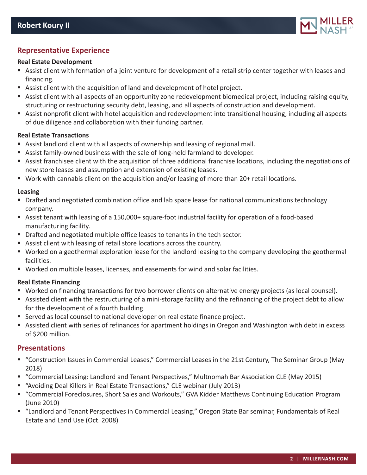

# **Representative Experience**

#### **Real Estate Development**

- Assist client with formation of a joint venture for development of a retail strip center together with leases and financing.
- Assist client with the acquisition of land and development of hotel project.
- Assist client with all aspects of an opportunity zone redevelopment biomedical project, including raising equity, structuring or restructuring security debt, leasing, and all aspects of construction and development.
- Assist nonprofit client with hotel acquisition and redevelopment into transitional housing, including all aspects of due diligence and collaboration with their funding partner.

#### **Real Estate Transactions**

- Assist landlord client with all aspects of ownership and leasing of regional mall.
- Assist family-owned business with the sale of long-held farmland to developer.
- Assist franchisee client with the acquisition of three additional franchise locations, including the negotiations of new store leases and assumption and extension of existing leases.
- Work with cannabis client on the acquisition and/or leasing of more than 20+ retail locations.

#### **Leasing**

- **Drafted and negotiated combination office and lab space lease for national communications technology** company.
- Assist tenant with leasing of a 150,000+ square-foot industrial facility for operation of a food-based manufacturing facility.
- **Drafted and negotiated multiple office leases to tenants in the tech sector.**
- Assist client with leasing of retail store locations across the country.
- Worked on a geothermal exploration lease for the landlord leasing to the company developing the geothermal facilities.
- Worked on multiple leases, licenses, and easements for wind and solar facilities.

#### **Real Estate Financing**

- Worked on financing transactions for two borrower clients on alternative energy projects (as local counsel).
- Assisted client with the restructuring of a mini-storage facility and the refinancing of the project debt to allow for the development of a fourth building.
- Served as local counsel to national developer on real estate finance project.
- Assisted client with series of refinances for apartment holdings in Oregon and Washington with debt in excess of \$200 million.

#### **Presentations**

- "Construction Issues in Commercial Leases," Commercial Leases in the 21st Century, The Seminar Group (May 2018)
- "Commercial Leasing: Landlord and Tenant Perspectives," Multnomah Bar Association CLE (May 2015)
- "Avoiding Deal Killers in Real Estate Transactions," CLE webinar (July 2013)
- "Commercial Foreclosures, Short Sales and Workouts," GVA Kidder Matthews Continuing Education Program (June 2010)
- "Landlord and Tenant Perspectives in Commercial Leasing," Oregon State Bar seminar, Fundamentals of Real Estate and Land Use (Oct. 2008)